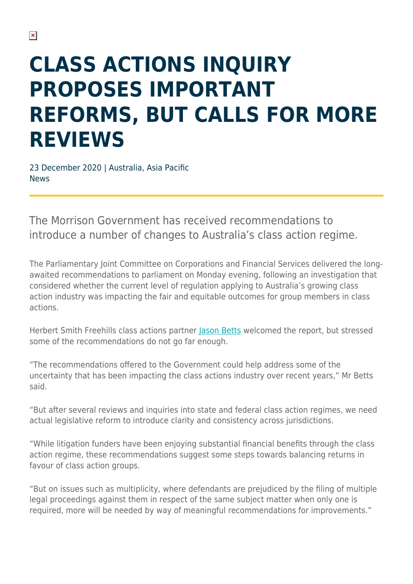## **CLASS ACTIONS INQUIRY PROPOSES IMPORTANT REFORMS, BUT CALLS FOR MORE REVIEWS**

23 December 2020 | Australia, Asia Pacific News

The Morrison Government has received recommendations to introduce a number of changes to Australia's class action regime.

The Parliamentary Joint Committee on Corporations and Financial Services delivered the longawaited recommendations to parliament on Monday evening, following an investigation that considered whether the current level of regulation applying to Australia's growing class action industry was impacting the fair and equitable outcomes for group members in class actions.

Herbert Smith Freehills class actions partner [Jason Betts](https://www.herbertsmithfreehills.com/our-people/jason-betts) welcomed the report, but stressed some of the recommendations do not go far enough.

"The recommendations offered to the Government could help address some of the uncertainty that has been impacting the class actions industry over recent years," Mr Betts said.

"But after several reviews and inquiries into state and federal class action regimes, we need actual legislative reform to introduce clarity and consistency across jurisdictions.

"While litigation funders have been enjoying substantial financial benefits through the class action regime, these recommendations suggest some steps towards balancing returns in favour of class action groups.

"But on issues such as multiplicity, where defendants are prejudiced by the filing of multiple legal proceedings against them in respect of the same subject matter when only one is required, more will be needed by way of meaningful recommendations for improvements."